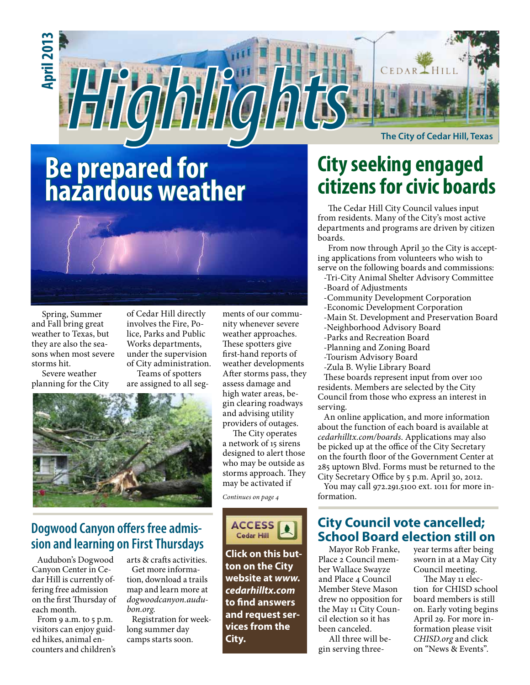

**The City of Cedar Hill, Texas**

# **Be prepared for hazardous weather**

OII

**HII** 



Spring, Summer and Fall bring great weather to Texas, but they are also the seasons when most severe storms hit.

**April 2013**

Severe weather planning for the City of Cedar Hill directly involves the Fire, Police, Parks and Public Works departments, under the supervision of City administration. Teams of spotters

are assigned to all seg-



## **Dogwood Canyon offers free admission and learning on First Thursdays**

Audubon's Dogwood Canyon Center in Cedar Hill is currently offering free admission on the first Thursday of each month.

From 9 a.m. to 5 p.m. visitors can enjoy guided hikes, animal encounters and children's

arts & crafts activities. Get more information, download a trails map and learn more at *dogwoodcanyon.audubon.org*.

Registration for weeklong summer day camps starts soon.

ments of our community whenever severe weather approaches. These spotters give first-hand reports of weather developments After storms pass, they assess damage and high water areas, begin clearing roadways and advising utility providers of outages.

OIA

The City operates a network of 15 sirens designed to alert those who may be outside as storms approach. They may be activated if

*Continues on page 4*



**Click on this button on the City website at** *www. cedarhilltx.com* **to find answers and request services from the City.**

# **City seeking engaged citizens for civic boards**

The Cedar Hill City Council values input from residents. Many of the City's most active departments and programs are driven by citizen boards.

From now through April 30 the City is accepting applications from volunteers who wish to serve on the following boards and commissions:

- -Tri-City Animal Shelter Advisory Committee -Board of Adjustments
- -Community Development Corporation
- -Economic Development Corporation
- -Main St. Development and Preservation Board
- -Neighborhood Advisory Board
- -Parks and Recreation Board
- -Planning and Zoning Board
- -Tourism Advisory Board
- -Zula B. Wylie Library Board

These boards represent input from over 100 residents. Members are selected by the City Council from those who express an interest in serving.

An online application, and more information about the function of each board is available at *cedarhilltx.com/boards*. Applications may also be picked up at the office of the City Secretary on the fourth floor of the Government Center at 285 uptown Blvd. Forms must be returned to the City Secretary Office by 5 p.m. April 30, 2012.

You may call 972.291.5100 ext. 1011 for more information.

### **City Council vote cancelled; School Board election still on**

Mayor Rob Franke, Place 2 Council member Wallace Swayze and Place 4 Council Member Steve Mason drew no opposition for the May 11 City Council election so it has been canceled. All three will be-

gin serving three-

year terms after being sworn in at a May City Council meeting.

The May 11 election for CHISD school board members is still on. Early voting begins April 29. For more information please visit *CHISD.org* and click on "News & Events".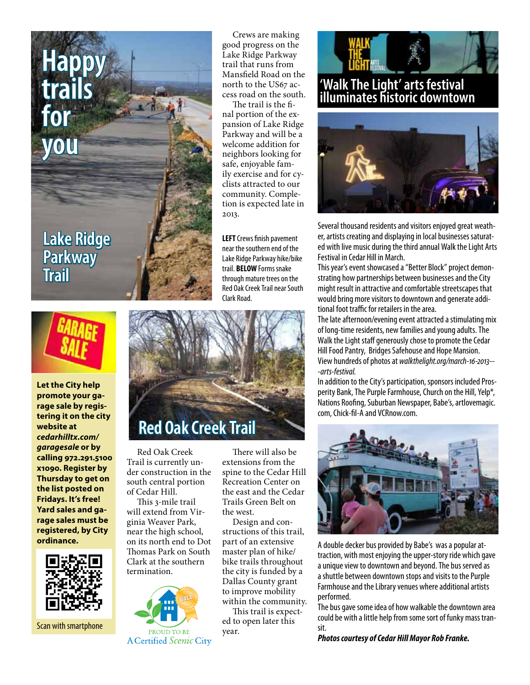**Lake Ridge Parkway Trail**

**Happy**

**trails** 

**for** 

**you**



**Let the City help promote your garage sale by registering it on the city website at**  *cedarhilltx.com/ garagesale* **or by calling 972.291.5100 x1090. Register by Thursday to get on the list posted on Fridays. It's free! Yard sales and garage sales must be registered, by City ordinance.** 



Scan with smartphone

**ACertified Scenic City** 

Crews are making good progress on the Lake Ridge Parkway trail that runs from Mansfield Road on the north to the US67 access road on the south.

The trail is the final portion of the expansion of Lake Ridge Parkway and will be a welcome addition for neighbors looking for safe, enjoyable family exercise and for cyclists attracted to our community. Completion is expected late in 2013.

**LEFT** Crews finish pavement near the southern end of the Lake Ridge Parkway hike/bike trail. **BELOW** Forms snake through mature trees on the Red Oak Creek Trail near South Clark Road.



Red Oak Creek Trail is currently under construction in the south central portion of Cedar Hill.

This 3-mile trail will extend from Virginia Weaver Park, near the high school, on its north end to Dot Thomas Park on South Clark at the southern termination.



There will also be extensions from the spine to the Cedar Hill Recreation Center on the east and the Cedar Trails Green Belt on the west.

Design and constructions of this trail, part of an extensive master plan of hike/ bike trails throughout the city is funded by a Dallas County grant to improve mobility within the community. This trail is expect-

ed to open later this year.



## **'Walk The Light' arts festival illuminates historic downtown**



Several thousand residents and visitors enjoyed great weather, artists creating and displaying in local businesses saturated with live music during the third annual Walk the Light Arts Festival in Cedar Hill in March.

This year's event showcased a "Better Block" project demonstrating how partnerships between businesses and the City might result in attractive and comfortable streetscapes that would bring more visitors to downtown and generate additional foot traffic for retailers in the area.

The late afternoon/evening event attracted a stimulating mix of long-time residents, new families and young adults. The Walk the Light staff generously chose to promote the Cedar Hill Food Pantry, Bridges Safehouse and Hope Mansion. View hundreds of photos at *walkthelight.org/march-16-2013-- -arts-festival*.

In addition to the City's participation, sponsors included Prosperity Bank, The Purple Farmhouse, Church on the Hill, Yelp\*, Nations Roofing, Suburban Newspaper, Babe's, artlovemagic. com, Chick-fil-A and VCRnow.com.



A double decker bus provided by Babe's was a popular attraction, with most enjoying the upper-story ride which gave a unique view to downtown and beyond. The bus served as a shuttle between downtown stops and visits to the Purple Farmhouse and the Library venues where additional artists performed.

The bus gave some idea of how walkable the downtown area could be with a little help from some sort of funky mass transit.

*Photos courtesy of Cedar Hill Mayor Rob Franke.*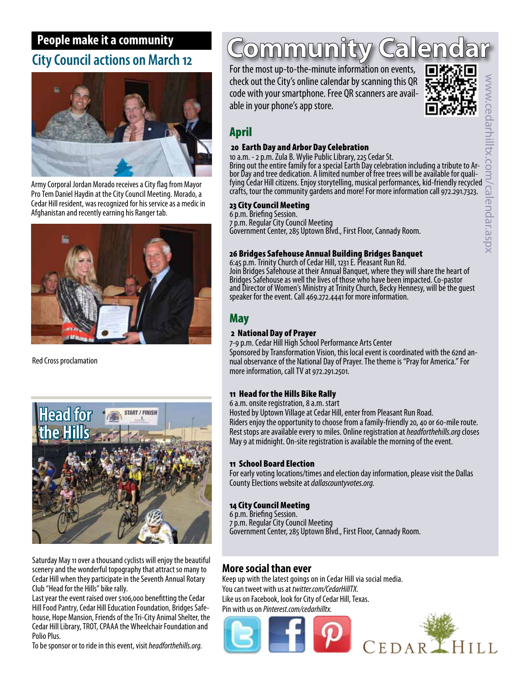# **People make it a community City Council actions on March 12**



Army Corporal Jordan Morado receives a City flag from Mayor Pro Tem Daniel Haydin at the City Council Meeting. Morado, a Cedar Hill resident, was recognized for his service as a medic in Afghanistan and recently earning his Ranger tab.



Red Cross proclamation



Saturday May 11 over a thousand cyclists will enjoy the beautiful scenery and the wonderful topography that attract so many to Cedar Hill when they participate in the Seventh Annual Rotary Club "Head for the Hills" bike rally.

Last year the event raised over \$106,000 benefitting the Cedar Hill Food Pantry, Cedar Hill Education Foundation, Bridges Safehouse, Hope Mansion, Friends of the Tri-City Animal Shelter, the Cedar Hill Library, TROT, CPAAA the Wheelchair Foundation and Polio Plus.

To be sponsor or to ride in this event, visit *headforthehills.org.*

#### Community  $\mathbb{R}$

For the most up-to-the-minute information on events, check out the City's online calendar by scanning this QR code with your smartphone. Free QR scanners are available in your phone's app store.



## April

#### 20 Earth Day and Arbor Day Celebration

10 a.m. - 2 p.m. Zula B. Wylie Public Library, 225 Cedar St.<br>Bring out the entire family for a special Earth Day celebration including a tribute to Arbor Day and tree dedication. A limited number of free trees will be available for quali-<br>fying Cedar Hill citizens. Enjoy storytelling, musical performances, kid-friendly recycled<br>crafts, tour the community gardens and mo crafts, tour the community gardens and more! For more information call 972.291.7323.

#### 23 City Council Meeting

6 p.m. Briefing Session. 7 p.m. Regular City Council Meeting Government Center, 285 Uptown Blvd., First Floor, Cannady Room.

#### 26 Bridges Safehouse Annual Building Bridges Banquet

6:45 p.m. Trinity Church of Cedar Hill, 1231 E. Pleasant Run Rd. Join Bridges Safehouse at their Annual Banquet, where they will share the heart of Bridges Safehouse as well the lives of those who have been impacted. Co-pastor and Director of Women's Ministry at Trinity Church, Becky Hennesy, will be the guest speaker for the event. Call 469.272.4441 for more information.

## May

#### 2 National Day of Prayer

7-9 p.m. Cedar Hill High School Performance Arts Center Sponsored by Transformation Vision, this local event is coordinated with the 62nd an- nual observance of the National Day of Prayer. The theme is "Pray for America." For more information, call TV at 972.291.2501.

#### 11 Head for the Hills Bike Rally

6 a.m. onsite registration, 8 a.m. start

Hosted by Uptown Village at Cedar Hill, enter from Pleasant Run Road. Riders enjoy the opportunity to choose from a family-friendly 20, 40 or 60-mile route. Rest stops are available every 10 miles. Online registration at *headforthehills.org* closes May 9 at midnight. On-site registration is available the morning of the event.

#### 11 School Board Election

For early voting locations/times and election day information, please visit the Dallas County Elections website at *dallascountyvotes.org.*

#### 14 City Council Meeting

6 p.m. Briefing Session.

7 p.m. Regular City Council Meeting

Government Center, 285 Uptown Blvd., First Floor, Cannady Room.

### **More social than ever**

Keep up with the latest goings on in Cedar Hill via social media. You can tweet with us at *twitter.com/CedarHillTX*. Like us on Facebook, look for City of Cedar Hill, Texas. Pin with us on *Pinterest.com/cedarhilltx*.